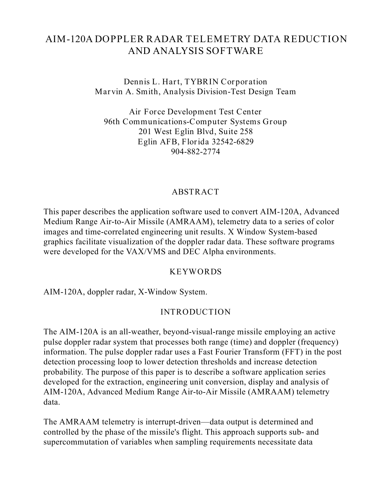# **AIM-120A DOPPLER RADAR TELEMETRY DATA REDUCTION AND ANALYSIS SOFTWARE**

**Dennis L. Hart, TYBRIN Corporation Marvin A. Smith, Analysis Division-Test Design Team**

**Air Force Development Test Center 96th Communications-Computer Systems Group 201 West Eglin Blvd, Suite 258 Eglin AFB, Florida 32542-6829 904-882-2774**

#### **ABSTRACT**

This paper describes the application software used to convert AIM-120A, Advanced Medium Range Air-to-Air Missile (AMRAAM), telemetry data to a series of color images and time-correlated engineering unit results. X Window System-based graphics facilitate visualization of the doppler radar data. These software programs were developed for the VAX/VMS and DEC Alpha environments.

#### **KEYWORDS**

AIM-120A, doppler radar, X-Window System.

#### **INTRODUCTION**

The AIM-120A is an all-weather, beyond-visual-range missile employing an active pulse doppler radar system that processes both range (time) and doppler (frequency) information. The pulse doppler radar uses a Fast Fourier Transform (FFT) in the post detection processing loop to lower detection thresholds and increase detection probability. The purpose of this paper is to describe a software application series developed for the extraction, engineering unit conversion, display and analysis of AIM-120A, Advanced Medium Range Air-to-Air Missile (AMRAAM) telemetry data.

The AMRAAM telemetry is interrupt-driven—data output is determined and controlled by the phase of the missile's flight. This approach supports sub- and supercommutation of variables when sampling requirements necessitate data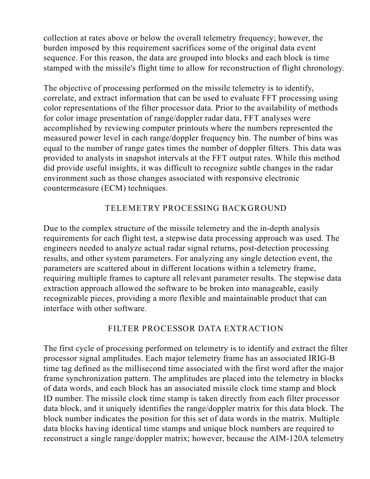collection at rates above or below the overall telemetry frequency; however, the burden imposed by this requirement sacrifices some of the original data event sequence. For this reason, the data are grouped into blocks and each block is time stamped with the missile's flight time to allow for reconstruction of flight chronology.

The objective of processing performed on the missile telemetry is to identify, correlate, and extract information that can be used to evaluate FFT processing using color representations of the filter processor data. Prior to the availability of methods for color image presentation of range/doppler radar data, FFT analyses were accomplished by reviewing computer printouts where the numbers represented the measured power level in each range/doppler frequency bin. The number of bins was equal to the number of range gates times the number of doppler filters. This data was provided to analysts in snapshot intervals at the FFT output rates. While this method did provide useful insights, it was difficult to recognize subtle changes in the radar environment such as those changes associated with responsive electronic countermeasure (ECM) techniques.

### **TELEMETRY PROCESSING BACKGROUND**

Due to the complex structure of the missile telemetry and the in-depth analysis requirements for each flight test, a stepwise data processing approach was used. The engineers needed to analyze actual radar signal returns, post-detection processing results, and other system parameters. For analyzing any single detection event, the parameters are scattered about in different locations within a telemetry frame, requiring multiple frames to capture all relevant parameter results. The stepwise data extraction approach allowed the software to be broken into manageable, easily recognizable pieces, providing a more flexible and maintainable product that can interface with other software.

#### **FILTER PROCESSOR DATA EXTRACTION**

The first cycle of processing performed on telemetry is to identify and extract the filter processor signal amplitudes. Each major telemetry frame has an associated IRIG-B time tag defined as the millisecond time associated with the first word after the major frame synchronization pattern. The amplitudes are placed into the telemetry in blocks of data words, and each block has an associated missile clock time stamp and block ID number. The missile clock time stamp is taken directly from each filter processor data block, and it uniquely identifies the range/doppler matrix for this data block. The block number indicates the position for this set of data words in the matrix. Multiple data blocks having identical time stamps and unique block numbers are required to reconstruct a single range/doppler matrix; however, because the AIM-120A telemetry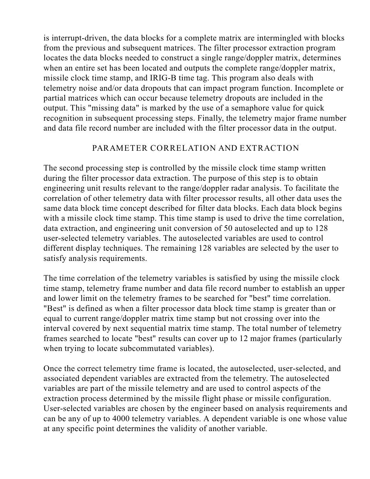is interrupt-driven, the data blocks for a complete matrix are intermingled with blocks from the previous and subsequent matrices. The filter processor extraction program locates the data blocks needed to construct a single range/doppler matrix, determines when an entire set has been located and outputs the complete range/doppler matrix, missile clock time stamp, and IRIG-B time tag. This program also deals with telemetry noise and/or data dropouts that can impact program function. Incomplete or partial matrices which can occur because telemetry dropouts are included in the output. This "missing data" is marked by the use of a semaphore value for quick recognition in subsequent processing steps. Finally, the telemetry major frame number and data file record number are included with the filter processor data in the output.

#### **PARAMETER CORRELATION AND EXTRACTION**

The second processing step is controlled by the missile clock time stamp written during the filter processor data extraction. The purpose of this step is to obtain engineering unit results relevant to the range/doppler radar analysis. To facilitate the correlation of other telemetry data with filter processor results, all other data uses the same data block time concept described for filter data blocks. Each data block begins with a missile clock time stamp. This time stamp is used to drive the time correlation, data extraction, and engineering unit conversion of 50 autoselected and up to 128 user-selected telemetry variables. The autoselected variables are used to control different display techniques. The remaining 128 variables are selected by the user to satisfy analysis requirements.

The time correlation of the telemetry variables is satisfied by using the missile clock time stamp, telemetry frame number and data file record number to establish an upper and lower limit on the telemetry frames to be searched for "best" time correlation. "Best" is defined as when a filter processor data block time stamp is greater than or equal to current range/doppler matrix time stamp but not crossing over into the interval covered by next sequential matrix time stamp. The total number of telemetry frames searched to locate "best" results can cover up to 12 major frames (particularly when trying to locate subcommutated variables).

Once the correct telemetry time frame is located, the autoselected, user-selected, and associated dependent variables are extracted from the telemetry. The autoselected variables are part of the missile telemetry and are used to control aspects of the extraction process determined by the missile flight phase or missile configuration. User-selected variables are chosen by the engineer based on analysis requirements and can be any of up to 4000 telemetry variables. A dependent variable is one whose value at any specific point determines the validity of another variable.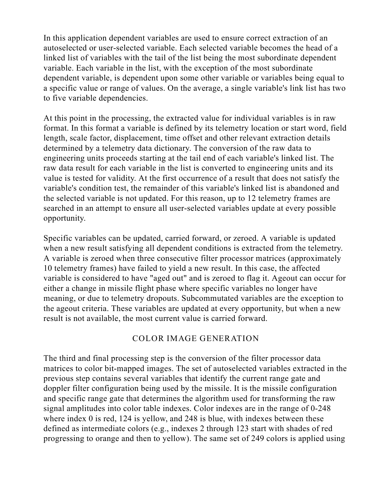In this application dependent variables are used to ensure correct extraction of an autoselected or user-selected variable. Each selected variable becomes the head of a linked list of variables with the tail of the list being the most subordinate dependent variable. Each variable in the list, with the exception of the most subordinate dependent variable, is dependent upon some other variable or variables being equal to a specific value or range of values. On the average, a single variable's link list has two to five variable dependencies.

At this point in the processing, the extracted value for individual variables is in raw format. In this format a variable is defined by its telemetry location or start word, field length, scale factor, displacement, time offset and other relevant extraction details determined by a telemetry data dictionary. The conversion of the raw data to engineering units proceeds starting at the tail end of each variable's linked list. The raw data result for each variable in the list is converted to engineering units and its value is tested for validity. At the first occurrence of a result that does not satisfy the variable's condition test, the remainder of this variable's linked list is abandoned and the selected variable is not updated. For this reason, up to 12 telemetry frames are searched in an attempt to ensure all user-selected variables update at every possible opportunity.

Specific variables can be updated, carried forward, or zeroed. A variable is updated when a new result satisfying all dependent conditions is extracted from the telemetry. A variable is zeroed when three consecutive filter processor matrices (approximately 10 telemetry frames) have failed to yield a new result. In this case, the affected variable is considered to have "aged out" and is zeroed to flag it. Ageout can occur for either a change in missile flight phase where specific variables no longer have meaning, or due to telemetry dropouts. Subcommutated variables are the exception to the ageout criteria. These variables are updated at every opportunity, but when a new result is not available, the most current value is carried forward.

#### **COLOR IMAGE GENERATION**

The third and final processing step is the conversion of the filter processor data matrices to color bit-mapped images. The set of autoselected variables extracted in the previous step contains several variables that identify the current range gate and doppler filter configuration being used by the missile. It is the missile configuration and specific range gate that determines the algorithm used for transforming the raw signal amplitudes into color table indexes. Color indexes are in the range of 0-248 where index 0 is red, 124 is yellow, and 248 is blue, with indexes between these defined as intermediate colors (e.g., indexes 2 through 123 start with shades of red progressing to orange and then to yellow). The same set of 249 colors is applied using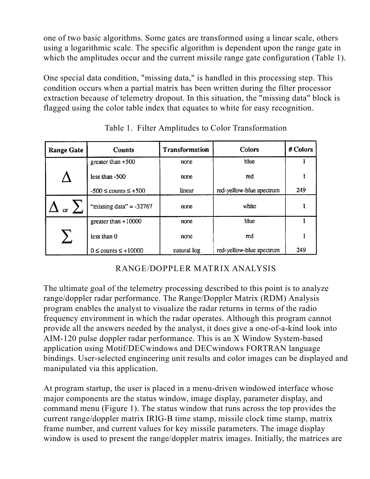one of two basic algorithms. Some gates are transformed using a linear scale, others using a logarithmic scale. The specific algorithm is dependent upon the range gate in which the amplitudes occur and the current missile range gate configuration (Table 1).

One special data condition, "missing data," is handled in this processing step. This condition occurs when a partial matrix has been written during the filter processor extraction because of telemetry dropout. In this situation, the "missing data" block is flagged using the color table index that equates to white for easy recognition.

| <b>Range Gate</b> | <b>Counts</b>                | <b>Transformation</b> | Colors                   | # Colors |
|-------------------|------------------------------|-----------------------|--------------------------|----------|
|                   | greater than $+500$          | none                  | blue                     |          |
|                   | less than $-500$             | none                  | red                      |          |
|                   | $-500 \le$ counts $\le +500$ | linear                | red-yellow-blue spectrum | 249      |
| or                | "missing data" $= -32767$    | none                  | white                    |          |
|                   | greater than $+10000$        | none                  | blue                     |          |
|                   | less than 0                  | none                  | red                      |          |
|                   | $0 \le$ counts $\le$ +10000  | natural log           | red-yellow-blue spectrum | 249      |

Table 1. Filter Amplitudes to Color Transformation

## **RANGE/DOPPLER MATRIX ANALYSIS**

The ultimate goal of the telemetry processing described to this point is to analyze range/doppler radar performance. The Range/Doppler Matrix (RDM) Analysis program enables the analyst to visualize the radar returns in terms of the radio frequency environment in which the radar operates. Although this program cannot provide all the answers needed by the analyst, it does give a one-of-a-kind look into AIM-120 pulse doppler radar performance. This is an X Window System-based application using Motif/DECwindows and DECwindows FORTRAN language bindings. User-selected engineering unit results and color images can be displayed and manipulated via this application.

At program startup, the user is placed in a menu-driven windowed interface whose major components are the status window, image display, parameter display, and command menu (Figure 1). The status window that runs across the top provides the current range/doppler matrix IRIG-B time stamp, missile clock time stamp, matrix frame number, and current values for key missile parameters. The image display window is used to present the range/doppler matrix images. Initially, the matrices are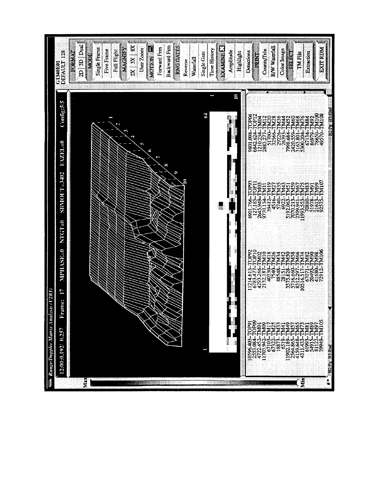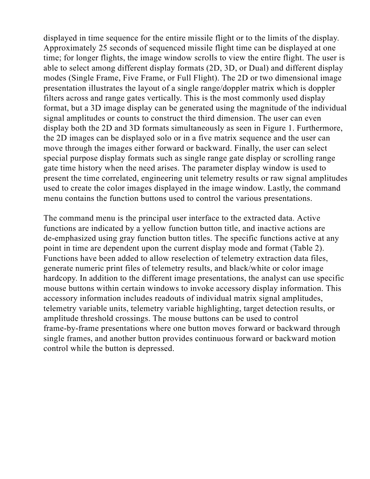displayed in time sequence for the entire missile flight or to the limits of the display. Approximately 25 seconds of sequenced missile flight time can be displayed at one time; for longer flights, the image window scrolls to view the entire flight. The user is able to select among different display formats (2D, 3D, or Dual) and different display modes (Single Frame, Five Frame, or Full Flight). The 2D or two dimensional image presentation illustrates the layout of a single range/doppler matrix which is doppler filters across and range gates vertically. This is the most commonly used display format, but a 3D image display can be generated using the magnitude of the individual signal amplitudes or counts to construct the third dimension. The user can even display both the 2D and 3D formats simultaneously as seen in Figure 1. Furthermore, the 2D images can be displayed solo or in a five matrix sequence and the user can move through the images either forward or backward. Finally, the user can select special purpose display formats such as single range gate display or scrolling range gate time history when the need arises. The parameter display window is used to present the time correlated, engineering unit telemetry results or raw signal amplitudes used to create the color images displayed in the image window. Lastly, the command menu contains the function buttons used to control the various presentations.

The command menu is the principal user interface to the extracted data. Active functions are indicated by a yellow function button title, and inactive actions are de-emphasized using gray function button titles. The specific functions active at any point in time are dependent upon the current display mode and format (Table 2). Functions have been added to allow reselection of telemetry extraction data files, generate numeric print files of telemetry results, and black/white or color image hardcopy. In addition to the different image presentations, the analyst can use specific mouse buttons within certain windows to invoke accessory display information. This accessory information includes readouts of individual matrix signal amplitudes, telemetry variable units, telemetry variable highlighting, target detection results, or amplitude threshold crossings. The mouse buttons can be used to control frame-by-frame presentations where one button moves forward or backward through single frames, and another button provides continuous forward or backward motion control while the button is depressed.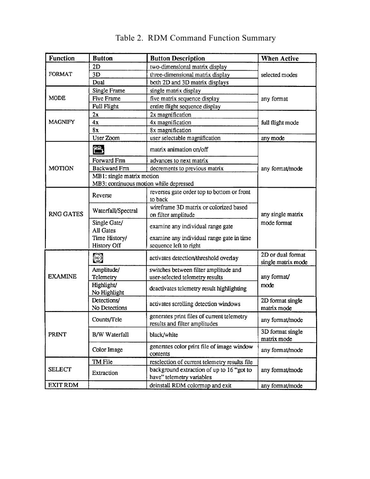| <b>Function</b>  | <b>Button</b>                          | <b>Button Description</b>                                                   | <b>When Active</b>               |  |
|------------------|----------------------------------------|-----------------------------------------------------------------------------|----------------------------------|--|
|                  | 2D                                     | two-dimensional matrix display                                              | selected modes                   |  |
| FORMAT           | 3D                                     | three-dimensional matrix display                                            |                                  |  |
|                  | Dual                                   | both 2D and 3D matrix displays                                              |                                  |  |
|                  | Single Frame                           | single matrix display                                                       |                                  |  |
| <b>MODE</b>      | <b>Five Frame</b>                      | five matrix sequence display                                                | any format                       |  |
|                  | Full Flight                            | entire flight sequence display                                              |                                  |  |
|                  | 2x                                     | 2x magnification                                                            |                                  |  |
| <b>MAGNIFY</b>   | 4x                                     | 4x magnification                                                            | full flight mode                 |  |
|                  | 8x                                     | 8x magnification                                                            |                                  |  |
|                  | User Zoom                              | user selectable magnification                                               | any mode                         |  |
|                  | ဨၜႃ                                    | matrix animation on/off                                                     |                                  |  |
|                  | Forward Fm                             | advances to next matrix                                                     |                                  |  |
| <b>MOTION</b>    | <b>Backward Frm</b>                    | decrements to previous matrix                                               | any format/mode                  |  |
|                  | MB1: single matrix motion              |                                                                             |                                  |  |
|                  | MB3: continuous motion while depressed |                                                                             |                                  |  |
| <b>RNG GATES</b> | Reverse                                | reverses gate order top to bottom or front<br>to back                       |                                  |  |
|                  | Waterfall/Spectral                     | wireframe 3D matrix or colorized based<br>on filter amplitude               | any single matrix<br>mode format |  |
|                  | Single Gate/<br><b>All Gates</b>       | examine any individual range gate                                           |                                  |  |
|                  | Time History/<br><b>History Off</b>    | examine any individual range gate in time<br>sequence left to right         |                                  |  |
|                  |                                        |                                                                             | 2D or dual format                |  |
|                  | O                                      | activates detection/threshold overlay                                       | single matrix mode               |  |
|                  | Amplitude/                             | switches between filter amplitude and                                       | any format/<br>mode              |  |
| <b>EXAMINE</b>   | Telemetry                              | user-selected telemetry results                                             |                                  |  |
|                  | Highlight/<br>No Highlight             | deactivates telemetry result highlighting                                   |                                  |  |
|                  | Detections/<br>No Detections           | activates scrolling detection windows                                       | 2D format single<br>matrix mode  |  |
| <b>PRINT</b>     | Counts/Tele                            | generates print files of current telemetry<br>results and filter amplitudes | any format/mode                  |  |
|                  | <b>B/W</b> Waterfall                   | black/white                                                                 | 3D format single<br>matrix mode  |  |
|                  | Color Image                            | generates color print file of image window<br>contents                      | any format/mode                  |  |
|                  | TM File                                | reselection of current telemetry results file                               | any format/mode                  |  |
| <b>SELECT</b>    | Extraction                             | background extraction of up to 16 "got to<br>have" telemetry variables      |                                  |  |
| <b>EXIT RDM</b>  |                                        | deinstall RDM colormap and exit                                             | any format/mode                  |  |

# Table 2. RDM Command Function Summary